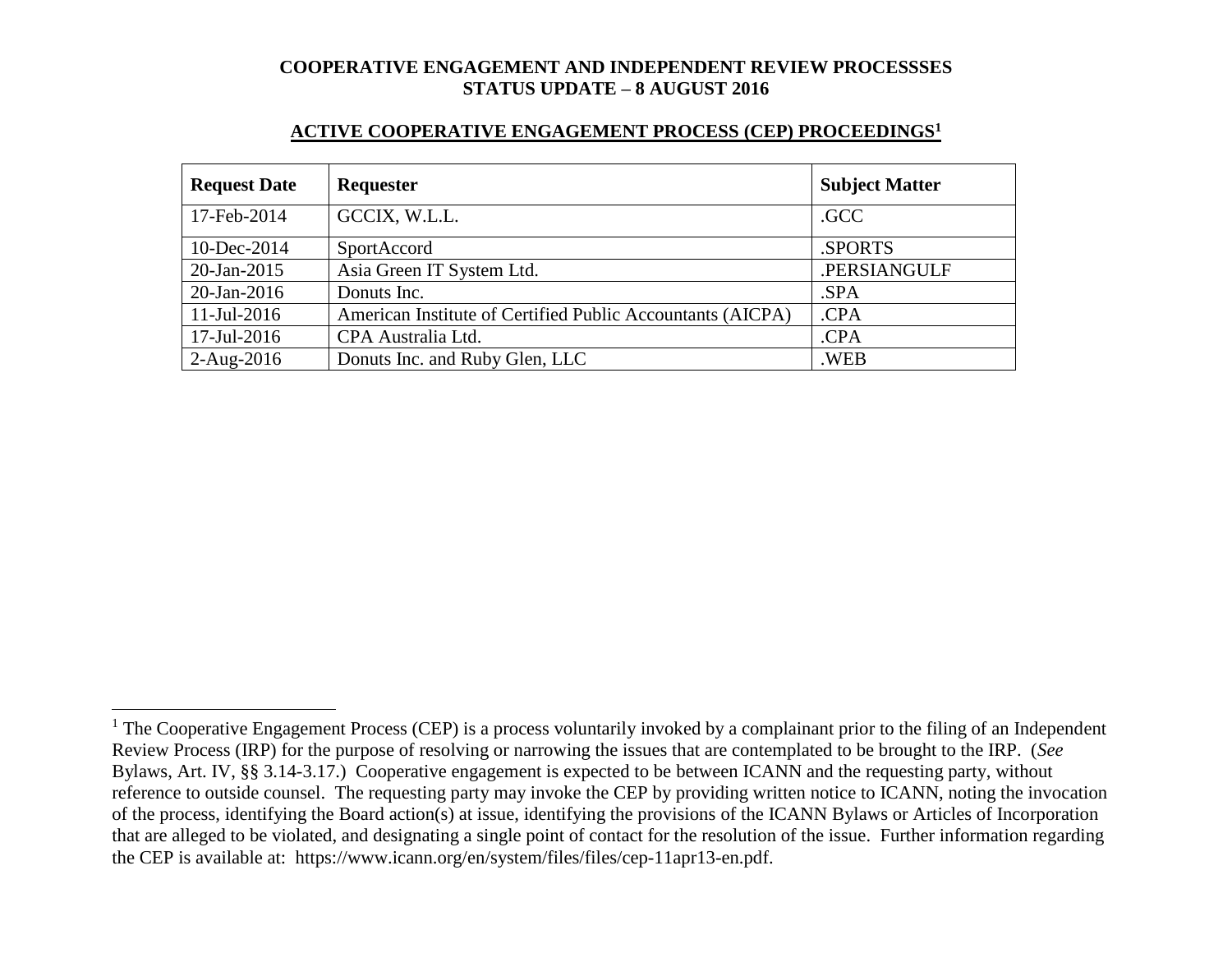#### **ACTIVE COOPERATIVE ENGAGEMENT PROCESS (CEP) PROCEEDINGS<sup>1</sup>**

| <b>Request Date</b> | <b>Requester</b>                                           | <b>Subject Matter</b> |
|---------------------|------------------------------------------------------------|-----------------------|
| 17-Feb-2014         | GCCIX, W.L.L.                                              | .GCC                  |
| 10-Dec-2014         | SportAccord                                                | .SPORTS               |
| $20$ -Jan-2015      | Asia Green IT System Ltd.                                  | .PERSIANGULF          |
| $20$ -Jan-2016      | Donuts Inc.                                                | .SPA                  |
| $11$ -Jul-2016      | American Institute of Certified Public Accountants (AICPA) | .CPA                  |
| 17-Jul-2016         | CPA Australia Ltd.                                         | .CPA                  |
| $2-Aug-2016$        | Donuts Inc. and Ruby Glen, LLC                             | .WEB                  |

 $1$  The Cooperative Engagement Process (CEP) is a process voluntarily invoked by a complainant prior to the filing of an Independent Review Process (IRP) for the purpose of resolving or narrowing the issues that are contemplated to be brought to the IRP. (*See* Bylaws, Art. IV, §§ 3.14-3.17.) Cooperative engagement is expected to be between ICANN and the requesting party, without reference to outside counsel. The requesting party may invoke the CEP by providing written notice to ICANN, noting the invocation of the process, identifying the Board action(s) at issue, identifying the provisions of the ICANN Bylaws or Articles of Incorporation that are alleged to be violated, and designating a single point of contact for the resolution of the issue. Further information regarding the CEP is available at: https://www.icann.org/en/system/files/files/cep-11apr13-en.pdf.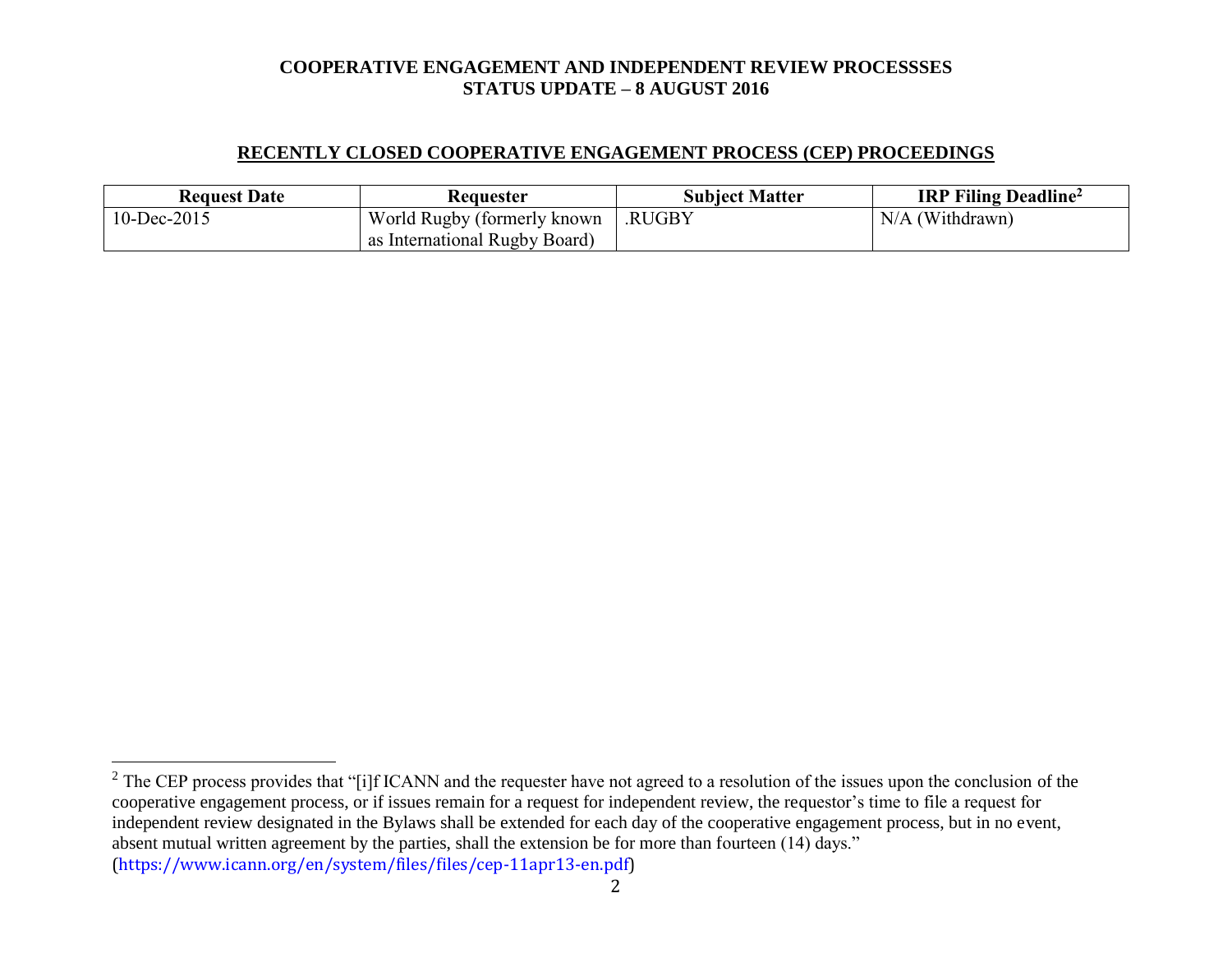## **RECENTLY CLOSED COOPERATIVE ENGAGEMENT PROCESS (CEP) PROCEEDINGS**

| <b>Request Date</b> | <b>Requester</b>              | <b>Subject Matter</b> | <b>IRP Filing Deadline</b> <sup>2</sup> |
|---------------------|-------------------------------|-----------------------|-----------------------------------------|
| 10-Dec-2015         | World Rugby (formerly known)  | .RUGBY                | $N/A$ (Withdrawn)                       |
|                     | as International Rugby Board) |                       |                                         |

(https://www.icann.org/en/system/files/files/cep-11apr13-en.pdf)

 $2^2$  The CEP process provides that "[i]f ICANN and the requester have not agreed to a resolution of the issues upon the conclusion of the cooperative engagement process, or if issues remain for a request for independent review, the requestor's time to file a request for independent review designated in the Bylaws shall be extended for each day of the cooperative engagement process, but in no event, absent mutual written agreement by the parties, shall the extension be for more than fourteen (14) days."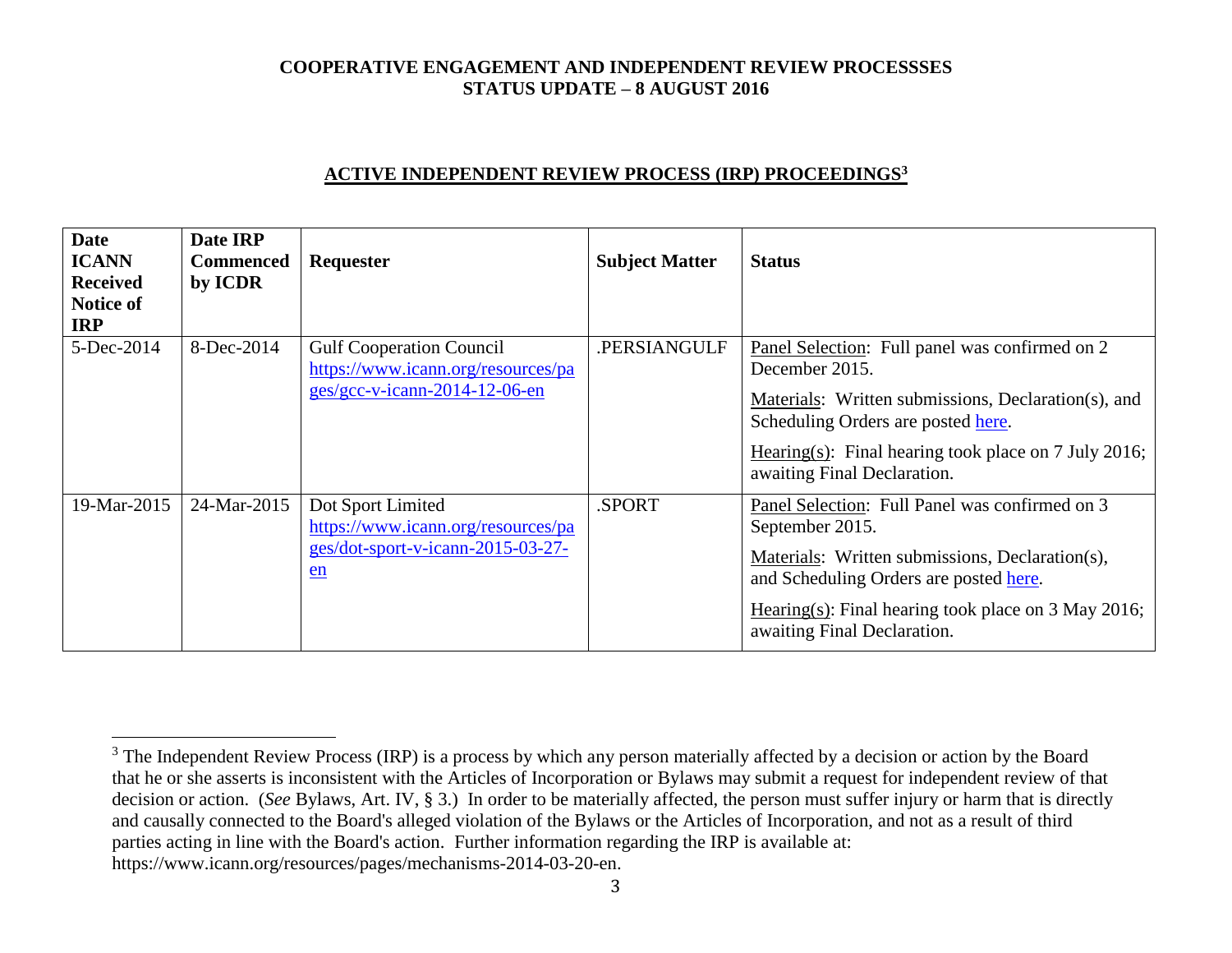## **ACTIVE INDEPENDENT REVIEW PROCESS (IRP) PROCEEDINGS<sup>3</sup>**

| <b>Date</b><br><b>ICANN</b><br><b>Received</b><br><b>Notice of</b><br><b>IRP</b> | Date IRP<br><b>Commenced</b><br>by ICDR | Requester                                                                                                | <b>Subject Matter</b> | <b>Status</b>                                                                                                                                                                                                                                          |
|----------------------------------------------------------------------------------|-----------------------------------------|----------------------------------------------------------------------------------------------------------|-----------------------|--------------------------------------------------------------------------------------------------------------------------------------------------------------------------------------------------------------------------------------------------------|
| 5-Dec-2014                                                                       | 8-Dec-2014                              | <b>Gulf Cooperation Council</b><br>https://www.icann.org/resources/pa<br>$ges/gcc-v-icann-2014-12-06-en$ | .PERSIANGULF          | Panel Selection: Full panel was confirmed on 2<br>December 2015.<br>Materials: Written submissions, Declaration(s), and<br>Scheduling Orders are posted here.<br>Hearing(s): Final hearing took place on 7 July 2016;<br>awaiting Final Declaration.   |
| 19-Mar-2015                                                                      | 24-Mar-2015                             | Dot Sport Limited<br>https://www.icann.org/resources/pa<br>ges/dot-sport-v-icann-2015-03-27-<br>en       | .SPORT                | Panel Selection: Full Panel was confirmed on 3<br>September 2015.<br>Materials: Written submissions, Declaration(s),<br>and Scheduling Orders are posted here.<br>Hearing(s): Final hearing took place on $3$ May 2016;<br>awaiting Final Declaration. |

<sup>&</sup>lt;sup>3</sup> The Independent Review Process (IRP) is a process by which any person materially affected by a decision or action by the Board that he or she asserts is inconsistent with the Articles of Incorporation or Bylaws may submit a request for independent review of that decision or action. (*See* Bylaws, Art. IV, § 3.) In order to be materially affected, the person must suffer injury or harm that is directly and causally connected to the Board's alleged violation of the Bylaws or the Articles of Incorporation, and not as a result of third parties acting in line with the Board's action. Further information regarding the IRP is available at: https://www.icann.org/resources/pages/mechanisms-2014-03-20-en.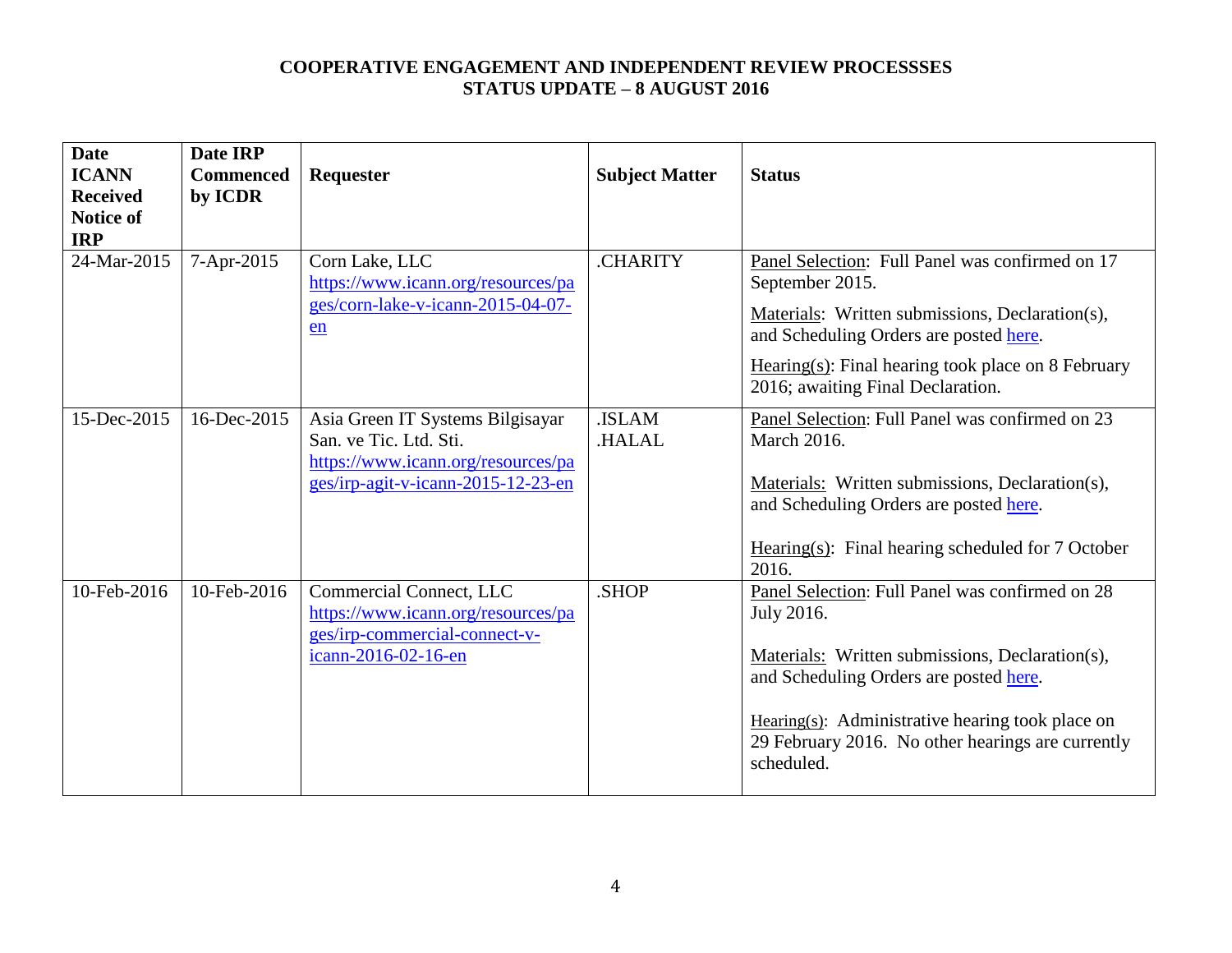| <b>Date</b><br><b>ICANN</b><br><b>Received</b><br><b>Notice of</b> | Date IRP<br><b>Commenced</b><br>by ICDR | Requester                                                                                                                              | <b>Subject Matter</b>        | <b>Status</b>                                                                                                                                                                                                                                                                     |
|--------------------------------------------------------------------|-----------------------------------------|----------------------------------------------------------------------------------------------------------------------------------------|------------------------------|-----------------------------------------------------------------------------------------------------------------------------------------------------------------------------------------------------------------------------------------------------------------------------------|
| <b>IRP</b><br>24-Mar-2015                                          | 7-Apr-2015                              | Corn Lake, LLC<br>https://www.icann.org/resources/pa<br>ges/corn-lake-v-icann-2015-04-07-<br>en                                        | <b>CHARITY</b>               | Panel Selection: Full Panel was confirmed on 17<br>September 2015.<br>Materials: Written submissions, Declaration(s),<br>and Scheduling Orders are posted here.<br>$Hearing(s): Final hearing took place on 8 February$<br>2016; awaiting Final Declaration.                      |
| 15-Dec-2015                                                        | 16-Dec-2015                             | Asia Green IT Systems Bilgisayar<br>San. ve Tic. Ltd. Sti.<br>https://www.icann.org/resources/pa<br>ges/irp-agit-v-icann-2015-12-23-en | <b>ISLAM</b><br><b>HALAL</b> | Panel Selection: Full Panel was confirmed on 23<br><b>March 2016.</b><br>Materials: Written submissions, Declaration(s),<br>and Scheduling Orders are posted here.<br>Hearing $(s)$ : Final hearing scheduled for 7 October<br>2016.                                              |
| 10-Feb-2016                                                        | 10-Feb-2016                             | Commercial Connect, LLC<br>https://www.icann.org/resources/pa<br>ges/irp-commercial-connect-v-<br>icann-2016-02-16-en                  | .SHOP                        | Panel Selection: Full Panel was confirmed on 28<br>July 2016.<br>Materials: Written submissions, Declaration(s),<br>and Scheduling Orders are posted here.<br>Hearing(s): Administrative hearing took place on<br>29 February 2016. No other hearings are currently<br>scheduled. |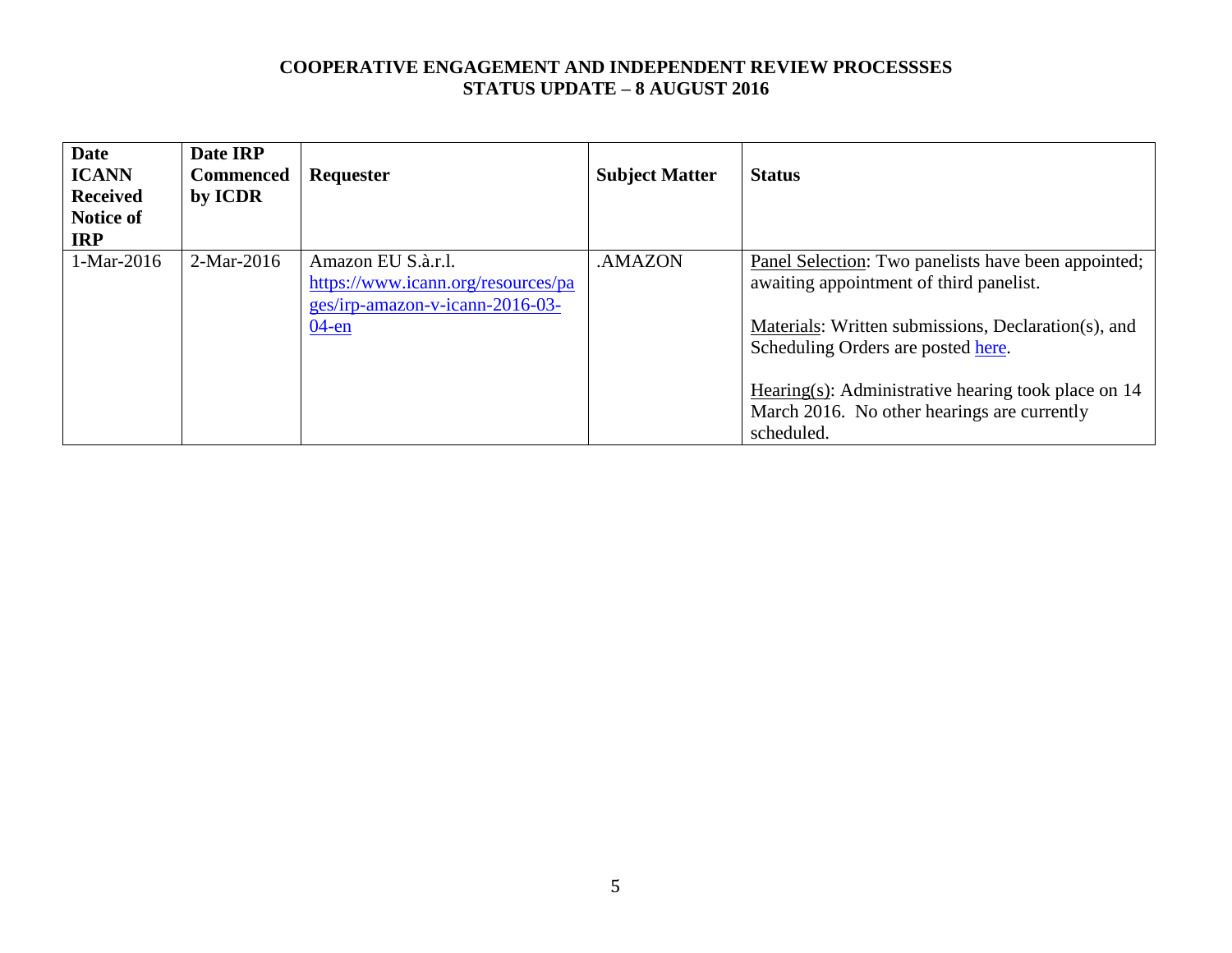| <b>Date</b><br><b>ICANN</b><br><b>Received</b><br><b>Notice of</b><br><b>IRP</b> | Date IRP<br><b>Commenced</b><br>by ICDR | Requester                                                                                               | <b>Subject Matter</b> | <b>Status</b>                                                                                                                                            |
|----------------------------------------------------------------------------------|-----------------------------------------|---------------------------------------------------------------------------------------------------------|-----------------------|----------------------------------------------------------------------------------------------------------------------------------------------------------|
| 1-Mar-2016                                                                       | $2-Mar-2016$                            | Amazon EU S.à.r.l.<br>https://www.icann.org/resources/pa<br>ges/irp-amazon-v-icann-2016-03-<br>$04$ -en | .AMAZON               | Panel Selection: Two panelists have been appointed;<br>awaiting appointment of third panelist.<br>Materials: Written submissions, Declaration(s), and    |
|                                                                                  |                                         |                                                                                                         |                       | Scheduling Orders are posted here.<br>Hearing(s): Administrative hearing took place on $14$<br>March 2016. No other hearings are currently<br>scheduled. |